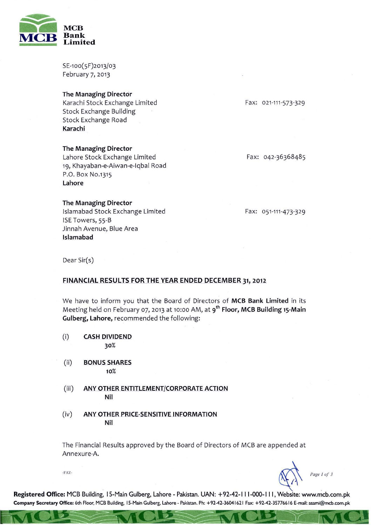

SE-100(5F)2013/03 February 7, 2013

## The Managing Director

Karachi Stock Exchange Limited Stock Exchange Building Stock Exchange Road Karachi

# The Managing Director

Lahore Stock Exchange Limited 19, Khayaban-e-Aiwan-e-Iqbal Road P.O. Box NO.1315 Lahore

### The Managing Director

Islamabad Stock Exchange Limited ISE Towers, 55-B Jinnah Avenue, Blue Area Islamabad

Fax: 021-111-573-329

Fax: 042-36368485

#### Fax: 051-111-473-329

Dear Sir(s)

## FINANCIAL RESULTS FOR THE YEAR ENDED DECEMBER 31, 2012

We have to inform you that the Board of Directors of MCB Bank Limited in its Meeting held on February 07, 2013 at 10:00 AM, at 9<sup>th</sup> Floor, MCB Building 15-Main Gulberg, Lahore, recommended the following:

- (i) CASH DIVIDEND 30%
- (ii) BONUS SHARES 10%
- (iii) ANY OTHER ENTITLEMENT/CORPORATE ACTION Nil
- (iv) ANY OTHER PRICE-SENSITIVE INFORMATION Nil

The Financial Results approved by the Board of Directors of MCB are appended at Annexure-A.

·rAZ-

 $\sqrt{11}$ 

~ *Page } of3* 

Registered Office: MCB Building, IS-Main Gulberg, Lahore - Pakistan. UAN: +92-42-111-000-111, Website: www.mcb.com.pk **Company Secretary Office: 6th Floor, MeB Building.** <sup>15</sup> ~Main **Gulberg. Lahore - Pakistan. Ph: +92-42-36041621 Fax: +92-42-35776616 E-mail: asami@mcb.com.pk**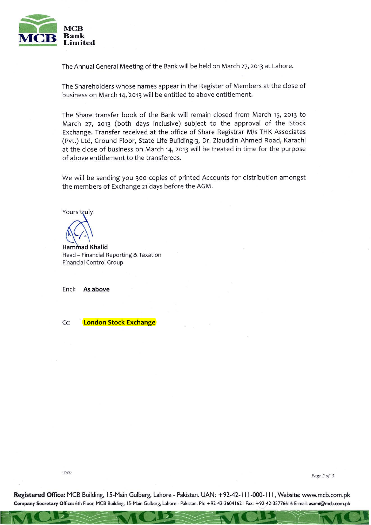

The Annual General Meeting of the Bank will be held on March 27, 2013 at Lahore.

The Shareholders whose names appear in the Register of Members at the close of business on March 14, 2013 will be entitled to above entitlement.

The Share transfer book of the Bank will remain closed from March 15, 2013 to March 27, 2013 (both days inclusive) subject to the approval of the Stock Exchange. Transfer received at the office of Share Registrar M/s THK Associates (Pvt.) Ltd, Ground Floor, State Life Building-3, Dr. Ziauddin Ahmed Road, Karachi at the close of business on March 14, 2013 will be treated in time for the purpose of above entitlement to the transferees.

We will be sending you 300 copies of printed Accounts for distribution amongst the members of Exchange 21 days before the AGM.

Yours truly

**Hammad Khalid** Head - Financial Reporting & Taxation Financial Control Group

Encl: As above

Cc: **London Stock Exchange** 

**·FAZ-** *Page* **2** *of* **<sup>J</sup>**

**Registered Office:** MCB Building, IS-Main Gulberg, Lahore - Pakistan. UAN: +92-42-111-000-111, Website: www.mcb.com.pk **Company Secretary Office: 6th Floor, MCB Buitding, IS-Main Gulberg. Lahore - Pakistan. Ph: +92-42-36041621 Fax: +92-42-35776616 E-mail: asami@mcb.com.pk**